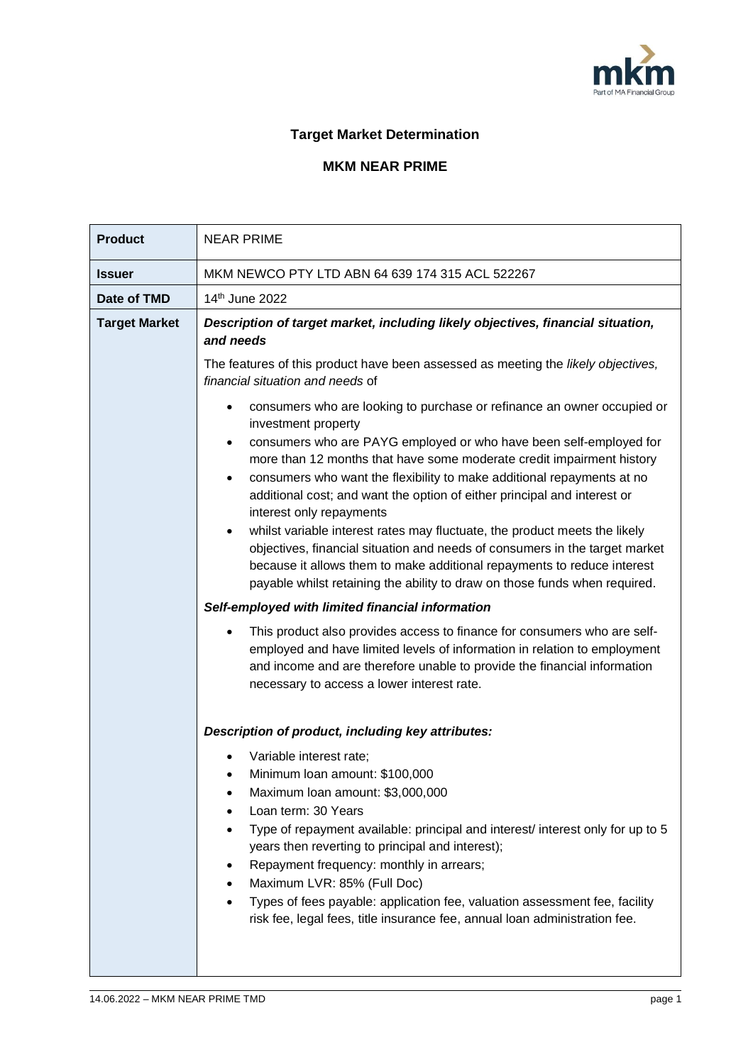

## **Target Market Determination**

## **MKM NEAR PRIME**

| <b>Product</b>       | <b>NEAR PRIME</b>                                                                                                                                                                                                                                                                                                                                                                                                                                                                                                                                                                                                                                                                                                                                                                                                                                                                                                                                                                                                                                                                                                                                                                                                                                                                                                     |  |  |  |
|----------------------|-----------------------------------------------------------------------------------------------------------------------------------------------------------------------------------------------------------------------------------------------------------------------------------------------------------------------------------------------------------------------------------------------------------------------------------------------------------------------------------------------------------------------------------------------------------------------------------------------------------------------------------------------------------------------------------------------------------------------------------------------------------------------------------------------------------------------------------------------------------------------------------------------------------------------------------------------------------------------------------------------------------------------------------------------------------------------------------------------------------------------------------------------------------------------------------------------------------------------------------------------------------------------------------------------------------------------|--|--|--|
| <b>Issuer</b>        | MKM NEWCO PTY LTD ABN 64 639 174 315 ACL 522267                                                                                                                                                                                                                                                                                                                                                                                                                                                                                                                                                                                                                                                                                                                                                                                                                                                                                                                                                                                                                                                                                                                                                                                                                                                                       |  |  |  |
| Date of TMD          | 14 <sup>th</sup> June 2022                                                                                                                                                                                                                                                                                                                                                                                                                                                                                                                                                                                                                                                                                                                                                                                                                                                                                                                                                                                                                                                                                                                                                                                                                                                                                            |  |  |  |
| <b>Target Market</b> | Description of target market, including likely objectives, financial situation,<br>and needs<br>The features of this product have been assessed as meeting the likely objectives,<br>financial situation and needs of<br>consumers who are looking to purchase or refinance an owner occupied or<br>investment property<br>consumers who are PAYG employed or who have been self-employed for<br>more than 12 months that have some moderate credit impairment history<br>consumers who want the flexibility to make additional repayments at no<br>additional cost; and want the option of either principal and interest or<br>interest only repayments<br>whilst variable interest rates may fluctuate, the product meets the likely<br>objectives, financial situation and needs of consumers in the target market<br>because it allows them to make additional repayments to reduce interest<br>payable whilst retaining the ability to draw on those funds when required.<br>Self-employed with limited financial information<br>This product also provides access to finance for consumers who are self-<br>employed and have limited levels of information in relation to employment<br>and income and are therefore unable to provide the financial information<br>necessary to access a lower interest rate. |  |  |  |
|                      | Description of product, including key attributes:<br>Variable interest rate;<br>Minimum Ioan amount: \$100,000<br>Maximum Ioan amount: \$3,000,000<br>Loan term: 30 Years<br>Type of repayment available: principal and interest/ interest only for up to 5<br>years then reverting to principal and interest);<br>Repayment frequency: monthly in arrears;<br>Maximum LVR: 85% (Full Doc)<br>Types of fees payable: application fee, valuation assessment fee, facility<br>risk fee, legal fees, title insurance fee, annual loan administration fee.                                                                                                                                                                                                                                                                                                                                                                                                                                                                                                                                                                                                                                                                                                                                                                |  |  |  |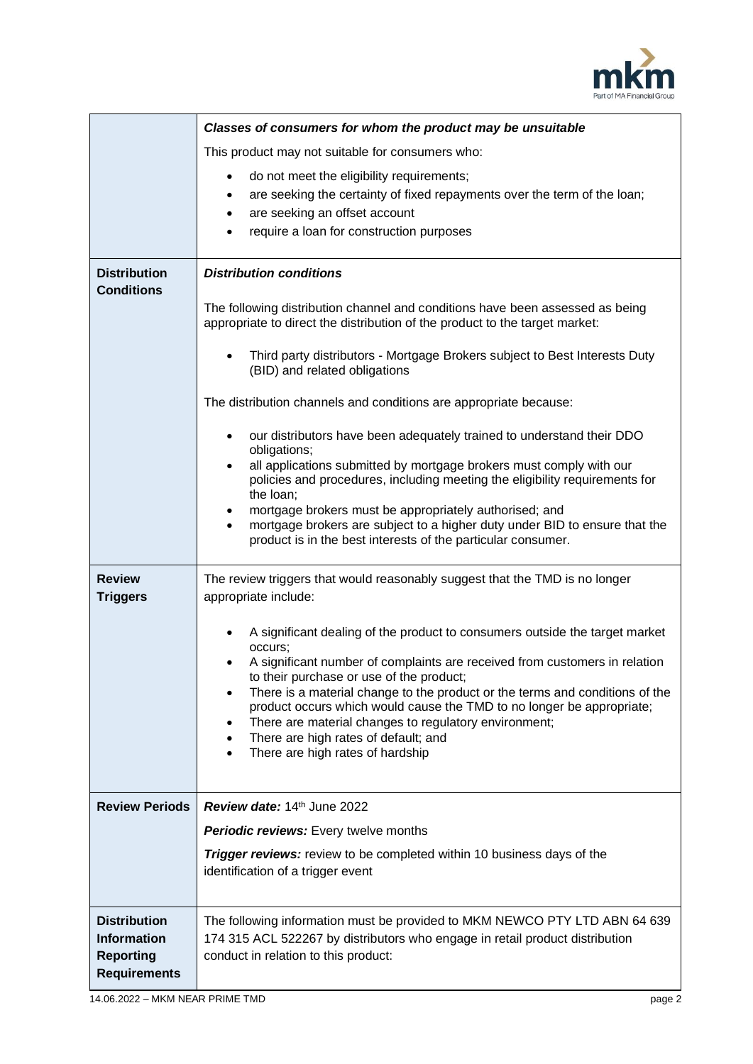

|                                                                                      | Classes of consumers for whom the product may be unsuitable                                                                                                                                                                                                                                                                                                                                                                                                                                                                   |  |  |  |  |
|--------------------------------------------------------------------------------------|-------------------------------------------------------------------------------------------------------------------------------------------------------------------------------------------------------------------------------------------------------------------------------------------------------------------------------------------------------------------------------------------------------------------------------------------------------------------------------------------------------------------------------|--|--|--|--|
|                                                                                      | This product may not suitable for consumers who:                                                                                                                                                                                                                                                                                                                                                                                                                                                                              |  |  |  |  |
|                                                                                      | do not meet the eligibility requirements;<br>$\bullet$<br>are seeking the certainty of fixed repayments over the term of the loan;<br>$\bullet$<br>are seeking an offset account<br>$\bullet$<br>require a loan for construction purposes                                                                                                                                                                                                                                                                                     |  |  |  |  |
| <b>Distribution</b><br><b>Conditions</b>                                             | <b>Distribution conditions</b>                                                                                                                                                                                                                                                                                                                                                                                                                                                                                                |  |  |  |  |
|                                                                                      | The following distribution channel and conditions have been assessed as being<br>appropriate to direct the distribution of the product to the target market:                                                                                                                                                                                                                                                                                                                                                                  |  |  |  |  |
|                                                                                      | Third party distributors - Mortgage Brokers subject to Best Interests Duty<br>(BID) and related obligations                                                                                                                                                                                                                                                                                                                                                                                                                   |  |  |  |  |
|                                                                                      | The distribution channels and conditions are appropriate because:                                                                                                                                                                                                                                                                                                                                                                                                                                                             |  |  |  |  |
|                                                                                      | our distributors have been adequately trained to understand their DDO<br>$\bullet$<br>obligations;                                                                                                                                                                                                                                                                                                                                                                                                                            |  |  |  |  |
|                                                                                      | all applications submitted by mortgage brokers must comply with our<br>$\bullet$<br>policies and procedures, including meeting the eligibility requirements for<br>the loan;                                                                                                                                                                                                                                                                                                                                                  |  |  |  |  |
|                                                                                      | mortgage brokers must be appropriately authorised; and<br>$\bullet$<br>mortgage brokers are subject to a higher duty under BID to ensure that the<br>$\bullet$<br>product is in the best interests of the particular consumer.                                                                                                                                                                                                                                                                                                |  |  |  |  |
| <b>Review</b><br><b>Triggers</b>                                                     | The review triggers that would reasonably suggest that the TMD is no longer<br>appropriate include:                                                                                                                                                                                                                                                                                                                                                                                                                           |  |  |  |  |
|                                                                                      | A significant dealing of the product to consumers outside the target market<br>occurs;<br>A significant number of complaints are received from customers in relation<br>to their purchase or use of the product;<br>There is a material change to the product or the terms and conditions of the<br>٠<br>product occurs which would cause the TMD to no longer be appropriate;<br>There are material changes to regulatory environment;<br>٠<br>There are high rates of default; and<br>٠<br>There are high rates of hardship |  |  |  |  |
| <b>Review Periods</b>                                                                | Review date: 14th June 2022                                                                                                                                                                                                                                                                                                                                                                                                                                                                                                   |  |  |  |  |
|                                                                                      | <b>Periodic reviews:</b> Every twelve months                                                                                                                                                                                                                                                                                                                                                                                                                                                                                  |  |  |  |  |
|                                                                                      | <b>Trigger reviews:</b> review to be completed within 10 business days of the<br>identification of a trigger event                                                                                                                                                                                                                                                                                                                                                                                                            |  |  |  |  |
| <b>Distribution</b><br><b>Information</b><br><b>Reporting</b><br><b>Requirements</b> | The following information must be provided to MKM NEWCO PTY LTD ABN 64 639<br>174 315 ACL 522267 by distributors who engage in retail product distribution<br>conduct in relation to this product:                                                                                                                                                                                                                                                                                                                            |  |  |  |  |